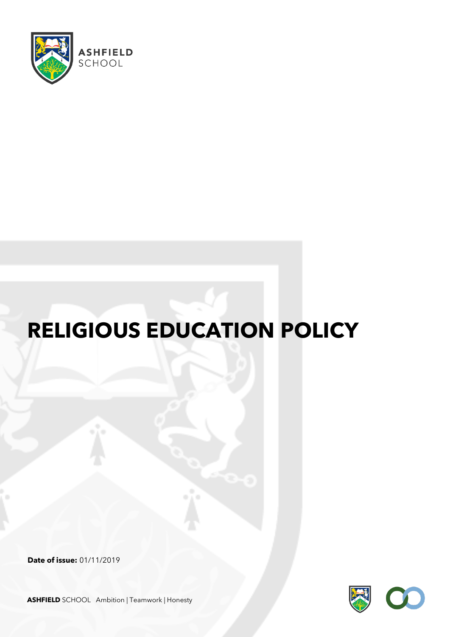

# **RELIGIOUS EDUCATION POLICY**

**Date of issue:** 01/11/2019



**ASHFIELD** SCHOOL Ambition | Teamwork | Honesty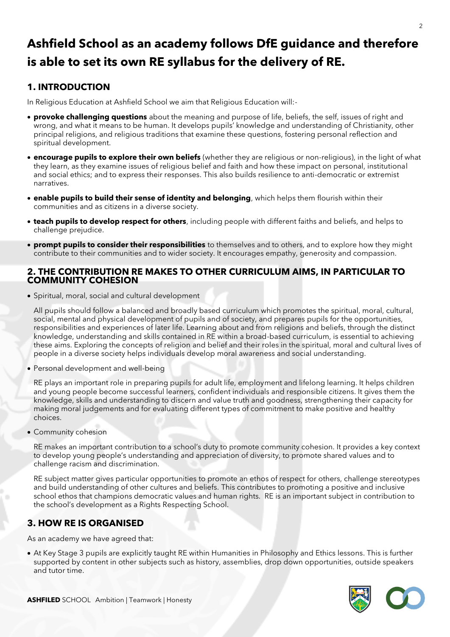## **Ashfield School as an academy follows DfE guidance and therefore is able to set its own RE syllabus for the delivery of RE.**

### **1. INTRODUCTION**

In Religious Education at Ashfield School we aim that Religious Education will:-

- **provoke challenging questions** about the meaning and purpose of life, beliefs, the self, issues of right and wrong, and what it means to be human. It develops pupils' knowledge and understanding of Christianity, other principal religions, and religious traditions that examine these questions, fostering personal reflection and spiritual development.
- **encourage pupils to explore their own beliefs** (whether they are religious or non-religious), in the light of what they learn, as they examine issues of religious belief and faith and how these impact on personal, institutional and social ethics; and to express their responses. This also builds resilience to anti-democratic or extremist narratives.
- **enable pupils to build their sense of identity and belonging**, which helps them flourish within their communities and as citizens in a diverse society.
- **teach pupils to develop respect for others**, including people with different faiths and beliefs, and helps to challenge prejudice.
- **prompt pupils to consider their responsibilities** to themselves and to others, and to explore how they might contribute to their communities and to wider society. It encourages empathy, generosity and compassion.

#### **2. THE CONTRIBUTION RE MAKES TO OTHER CURRICULUM AIMS, IN PARTICULAR TO COMMUNITY COHESION**

• Spiritual, moral, social and cultural development

All pupils should follow a balanced and broadly based curriculum which promotes the spiritual, moral, cultural, social, mental and physical development of pupils and of society, and prepares pupils for the opportunities, responsibilities and experiences of later life. Learning about and from religions and beliefs, through the distinct knowledge, understanding and skills contained in RE within a broad-based curriculum, is essential to achieving these aims. Exploring the concepts of religion and belief and their roles in the spiritual, moral and cultural lives of people in a diverse society helps individuals develop moral awareness and social understanding.

• Personal development and well-being

RE plays an important role in preparing pupils for adult life, employment and lifelong learning. It helps children and young people become successful learners, confident individuals and responsible citizens. It gives them the knowledge, skills and understanding to discern and value truth and goodness, strengthening their capacity for making moral judgements and for evaluating different types of commitment to make positive and healthy choices.

• Community cohesion

RE makes an important contribution to a school's duty to promote community cohesion. It provides a key context to develop young people's understanding and appreciation of diversity, to promote shared values and to challenge racism and discrimination.

RE subject matter gives particular opportunities to promote an ethos of respect for others, challenge stereotypes and build understanding of other cultures and beliefs. This contributes to promoting a positive and inclusive school ethos that champions democratic values and human rights. RE is an important subject in contribution to the school's development as a Rights Respecting School.

#### **3. HOW RE IS ORGANISED**

As an academy we have agreed that:

• At Key Stage 3 pupils are explicitly taught RE within Humanities in Philosophy and Ethics lessons. This is further supported by content in other subjects such as history, assemblies, drop down opportunities, outside speakers and tutor time.